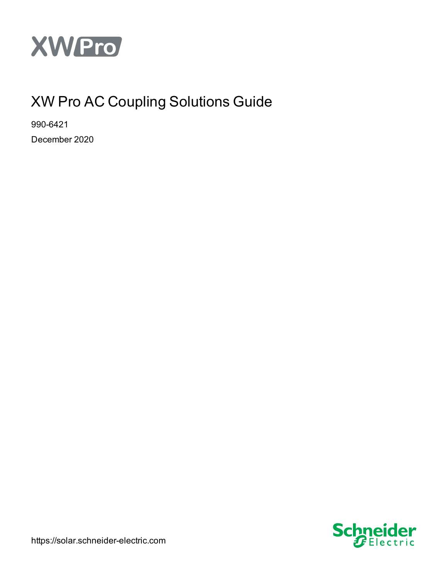

# XW Pro AC Coupling Solutions Guide

990-6421 December 2020



https://solar.schneider-electric.com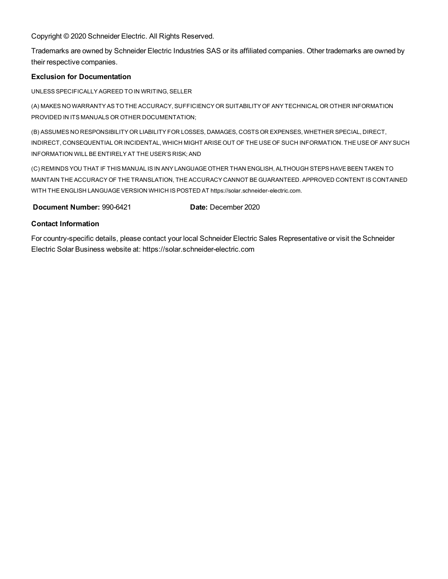Copyright © 2020 Schneider Electric. All Rights Reserved.

Trademarks are owned by Schneider Electric Industries SAS or its affiliated companies. Other trademarks are owned by their respective companies.

#### **Exclusion for Documentation**

UNLESS SPECIFICALLY AGREED TO IN WRITING, SELLER

(A) MAKES NO WARRANTY AS TO THE ACCURACY, SUFFICIENCY OR SUITABILITY OF ANY TECHNICAL OR OTHER INFORMATION PROVIDED IN ITS MANUALS OR OTHER DOCUMENTATION;

(B) ASSUMES NO RESPONSIBILITY OR LIABILITY FOR LOSSES, DAMAGES, COSTS OR EXPENSES, WHETHER SPECIAL, DIRECT, INDIRECT, CONSEQUENTIAL OR INCIDENTAL, WHICH MIGHT ARISE OUT OF THE USE OF SUCH INFORMATION. THE USE OF ANY SUCH INFORMATION WILL BE ENTIRELY AT THE USER'S RISK; AND

(C) REMINDS YOU THAT IF THIS MANUAL IS IN ANY LANGUAGE OTHER THAN ENGLISH, ALTHOUGH STEPS HAVE BEEN TAKEN TO MAINTAIN THE ACCURACY OF THE TRANSLATION, THE ACCURACY CANNOT BE GUARANTEED. APPROVED CONTENT IS CONTAINED WITH THE ENGLISH LANGUAGE VERSION WHICH IS POSTED AT https://solar.schneider-electric.com.

**Document Number: 990-6421 <b>Date:** December 2020

#### **Contact Information**

For country-specific details, please contact your local Schneider Electric Sales Representative or visit the Schneider Electric Solar Business website at: https://solar.schneider-electric.com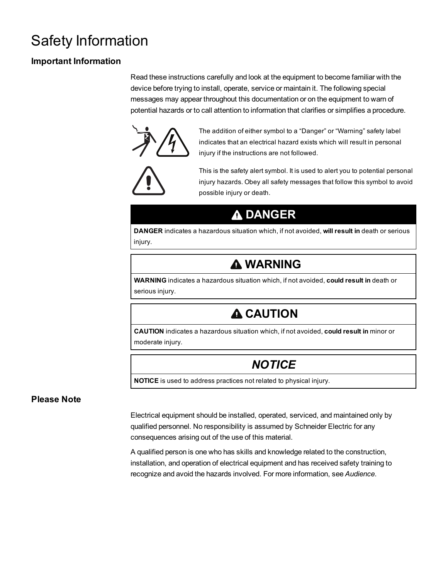# <span id="page-2-0"></span>Safety Information

### **Important Information**

Read these instructions carefully and look at the equipment to become familiar with the device before trying to install, operate, service or maintain it. The following special messages may appear throughout this documentation or on the equipment to warn of potential hazards or to call attention to information that clarifies or simplifies a procedure.



The addition of either symbol to a "Danger" or "Warning" safety label indicates that an electrical hazard exists which will result in personal injury if the instructions are not followed.



This is the safety alert symbol. It is used to alert you to potential personal injury hazards. Obey all safety messages that follow this symbol to avoid possible injury or death.

## **DANGER**

**DANGER** indicates a hazardous situation which, if not avoided, **will result in** death or serious injury.

## **WARNING**

**WARNING** indicates a hazardous situation which, if not avoided, **could result in** death or serious injury.

# **A CAUTION**

**CAUTION** indicates a hazardous situation which, if not avoided, **could result in** minor or moderate injury.

# *NOTICE*

**NOTICE** is used to address practices not related to physical injury.

### **Please Note**

Electrical equipment should be installed, operated, serviced, and maintained only by qualified personnel. No responsibility is assumed by Schneider Electric for any consequences arising out of the use of this material.

A qualified person is one who has skills and knowledge related to the construction, installation, and operation of electrical equipment and has received safety training to recognize and avoid the hazards involved. For more information, see *Audience*.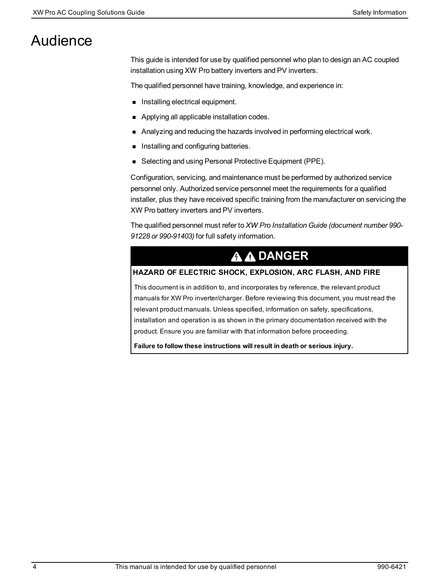# Audience

This guide is intended for use by qualified personnel who plan to design an AC coupled installation using XW Pro battery inverters and PV inverters.

The qualified personnel have training, knowledge, and experience in:

- **n** Installing electrical equipment.
- **n** Applying all applicable installation codes.
- **n** Analyzing and reducing the hazards involved in performing electrical work.
- **n** Installing and configuring batteries.
- Selecting and using Personal Protective Equipment (PPE).

Configuration, servicing, and maintenance must be performed by authorized service personnel only. Authorized service personnel meet the requirements for a qualified installer, plus they have received specific training from the manufacturer on servicing the XW Pro battery inverters and PV inverters.

The qualified personnel must refer to *XW Pro Installation Guide (document number 990- 91228 or 990-91403)* for full safety information.

# **A A DANGER**

#### **HAZARD OF ELECTRIC SHOCK, EXPLOSION, ARC FLASH, AND FIRE**

This document is in addition to, and incorporates by reference, the relevant product manuals for XW Pro inverter/charger. Before reviewing this document, you must read the relevant product manuals. Unless specified, information on safety, specifications, installation and operation is as shown in the primary documentation received with the product. Ensure you are familiar with that information before proceeding.

**Failure to follow these instructions will result in death or serious injury.**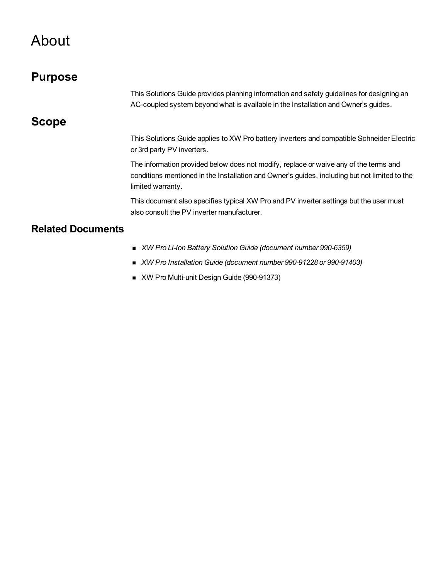# <span id="page-4-0"></span>About

<span id="page-4-2"></span><span id="page-4-1"></span>

| <b>Purpose</b>           |                                                                                                                                                                                                             |
|--------------------------|-------------------------------------------------------------------------------------------------------------------------------------------------------------------------------------------------------------|
|                          | This Solutions Guide provides planning information and safety guidelines for designing an<br>AC-coupled system beyond what is available in the Installation and Owner's guides.                             |
| <b>Scope</b>             |                                                                                                                                                                                                             |
|                          | This Solutions Guide applies to XW Pro battery inverters and compatible Schneider Electric<br>or 3rd party PV inverters.                                                                                    |
|                          | The information provided below does not modify, replace or waive any of the terms and<br>conditions mentioned in the Installation and Owner's guides, including but not limited to the<br>limited warranty. |
|                          | This document also specifies typical XW Pro and PV inverter settings but the user must<br>also consult the PV inverter manufacturer.                                                                        |
| <b>Related Documents</b> |                                                                                                                                                                                                             |
|                          | ■ XW Pro Li-Ion Battery Solution Guide (document number 990-6359)                                                                                                                                           |
|                          | ■ XW Pro Installation Guide (document number 990-91228 or 990-91403)                                                                                                                                        |

<span id="page-4-3"></span>■ XW Pro Multi-unit Design Guide (990-91373)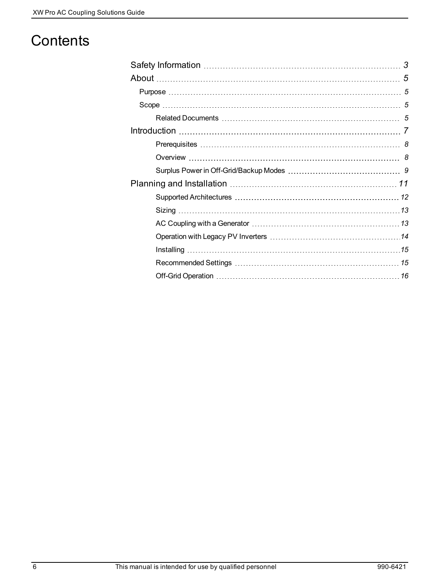# **Contents**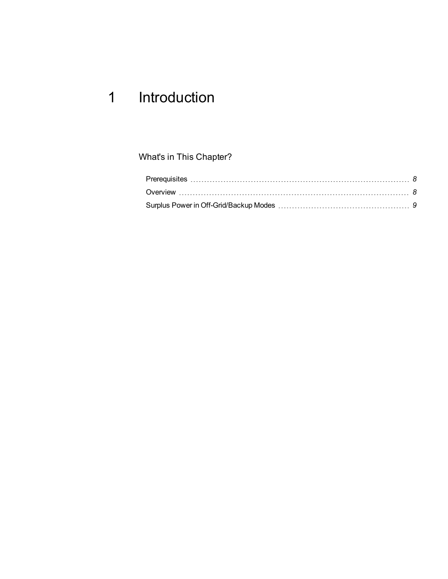# <span id="page-6-0"></span>1 Introduction

What's in This Chapter?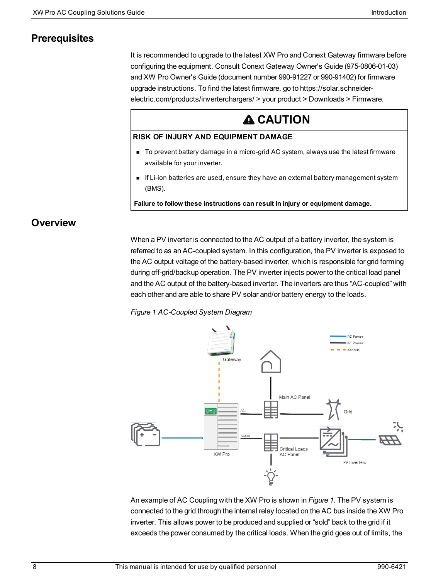### <span id="page-7-0"></span>**Prerequisites**

It is recommended to upgrade to the latest XW Pro and Conext Gateway firmware before configuring the equipment. Consult Conext Gateway Owner's Guide (975-0806-01-03) and XW Pro Owner's Guide (document number 990-91227 or 990-91402) for firmware upgrade instructions. To find the latest firmware, go to https://solar.schneiderelectric.com/products/inverterchargers/ > your product > Downloads > Firmware.

# **A CAUTION**

#### **RISK OF INJURY AND EQUIPMENT DAMAGE**

- To prevent battery damage in a micro-grid AC system, always use the latest firmware available for your inverter.
- **n** If Li-ion batteries are used, ensure they have an external battery management system (BMS).

**Failure to follow these instructions can result in injury or equipment damage.**

### <span id="page-7-1"></span>**Overview**

When a PV inverter is connected to the AC output of a battery inverter, the system is referred to as an AC-coupled system. In this configuration, the PV inverter is exposed to the AC output voltage of the battery-based inverter, which is responsible for grid forming during off-grid/backup operation. The PV inverter injects power to the critical load panel and the AC output of the battery-based inverter. The inverters are thus "AC-coupled" with each other and are able to share PV solar and/or battery energy to the loads.

<span id="page-7-2"></span>*Figure 1 AC-Coupled System Diagram*



An example of AC Coupling with the XW Pro is shown in *[Figure](#page-7-2) 1*. The PV system is connected to the grid through the internal relay located on the AC bus inside the XW Pro inverter. This allows power to be produced and supplied or "sold" back to the grid if it exceeds the power consumed by the critical loads. When the grid goes out of limits, the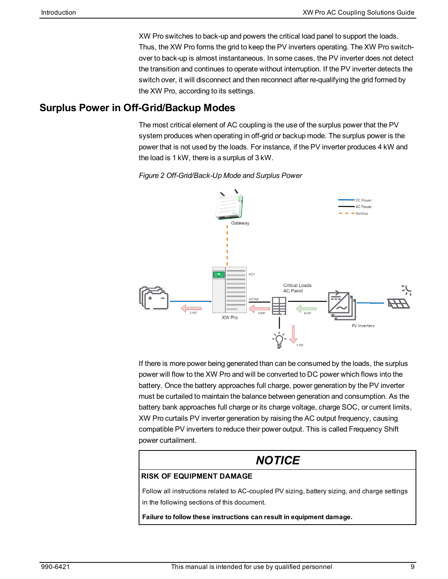XW Pro switches to back-up and powers the critical load panel to support the loads. Thus, the XW Pro forms the grid to keep the PV inverters operating. The XW Pro switchover to back-up is almost instantaneous. In some cases, the PV inverter does not detect the transition and continues to operate without interruption. If the PV inverter detects the switch over, it will disconnect and then reconnect after re-qualifying the grid formed by the XW Pro, according to its settings.

### <span id="page-8-0"></span>**Surplus Power in Off-Grid/Backup Modes**

The most critical element of AC coupling is the use of the surplus power that the PV system produces when operating in off-grid or backup mode. The surplus power is the power that is not used by the loads. For instance, if the PV inverter produces 4 kW and the load is 1 kW, there is a surplus of 3 kW.





If there is more power being generated than can be consumed by the loads, the surplus power will flow to the XW Pro and will be converted to DC power which flows into the battery. Once the battery approaches full charge, power generation by the PV inverter must be curtailed to maintain the balance between generation and consumption. As the battery bank approaches full charge or its charge voltage, charge SOC, or current limits, XW Pro curtails PV inverter generation by raising the AC output frequency, causing compatible PV inverters to reduce their power output. This is called Frequency Shift power curtailment.

# *NOTICE*

#### **RISK OF EQUIPMENT DAMAGE**

Follow all instructions related to AC-coupled PV sizing, battery sizing, and charge settings in the following sections of this document.

**Failure to follow these instructions can result in equipment damage.**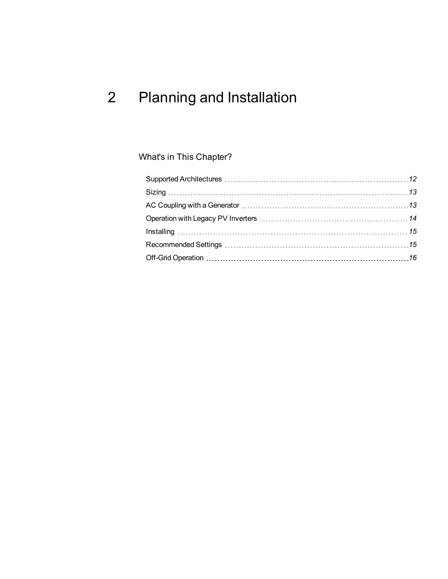# <span id="page-10-0"></span>2 Planning and Installation

## What's in This Chapter?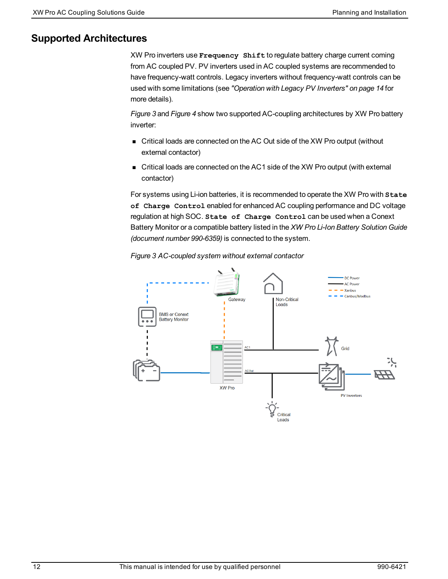### <span id="page-11-0"></span>**Supported Architectures**

XW Pro inverters use **Frequency Shift** to regulate battery charge current coming from AC coupled PV. PV inverters used in AC coupled systems are recommended to have frequency-watt controls. Legacy inverters without frequency-watt controls can be used with some limitations (see *["Operation](#page-13-0) with Legacy PV Inverters" on page 14* for more details).

*[Figure](#page-11-1) 3* and *[Figure](#page-12-2) 4* show two supported AC-coupling architectures by XW Pro battery inverter:

- Critical loads are connected on the AC Out side of the XW Pro output (without external contactor)
- Critical loads are connected on the AC1 side of the XW Pro output (with external contactor)

For systems using Li-ion batteries, it is recommended to operate the XW Pro with **State of Charge Control** enabled for enhanced AC coupling performance and DC voltage regulation at high SOC. **State of Charge Control** can be used when a Conext Battery Monitor or a compatible battery listed in the *XW Pro Li-Ion Battery Solution Guide (document number 990-6359)* is connected to the system.

<span id="page-11-1"></span>

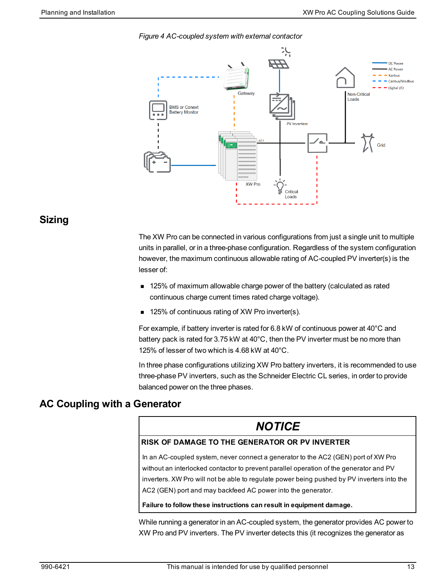<span id="page-12-2"></span>



### <span id="page-12-0"></span>**Sizing**

The XW Pro can be connected in various configurations from just a single unit to multiple units in parallel, or in a three-phase configuration. Regardless of the system configuration however, the maximum continuous allowable rating of AC-coupled PV inverter(s) is the lesser of:

- **125% of maximum allowable charge power of the battery (calculated as rated** continuous charge current times rated charge voltage).
- $\blacksquare$  125% of continuous rating of XW Pro inverter(s).

For example, if battery inverter is rated for 6.8 kW of continuous power at 40°C and battery pack is rated for 3.75 kW at 40°C, then the PV inverter must be no more than 125% of lesser of two which is 4.68 kW at 40°C.

In three phase configurations utilizing XW Pro battery inverters, it is recommended to use three-phase PV inverters, such as the Schneider Electric CL series, in order to provide balanced power on the three phases.

### <span id="page-12-1"></span>**AC Coupling with a Generator**

## *NOTICE*

#### **RISK OF DAMAGE TO THE GENERATOR OR PV INVERTER**

In an AC-coupled system, never connect a generator to the AC2 (GEN) port of XW Pro without an interlocked contactor to prevent parallel operation of the generator and PV inverters. XW Pro will not be able to regulate power being pushed by PV inverters into the AC2 (GEN) port and may backfeed AC power into the generator.

#### **Failure to follow these instructions can result in equipment damage.**

While running a generator in an AC-coupled system, the generator provides AC power to XW Pro and PV inverters. The PV inverter detects this (it recognizes the generator as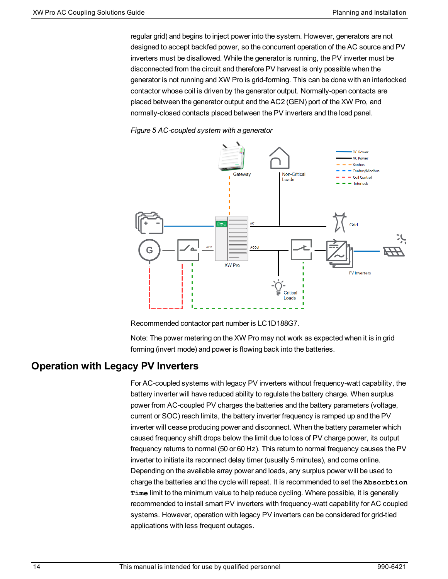regular grid) and begins to inject power into the system. However, generators are not designed to accept backfed power, so the concurrent operation of the AC source and PV inverters must be disallowed. While the generator is running, the PV inverter must be disconnected from the circuit and therefore PV harvest is only possible when the generator is not running and XW Pro is grid-forming. This can be done with an interlocked contactor whose coil is driven by the generator output. Normally-open contacts are placed between the generator output and the AC2 (GEN) port of the XW Pro, and normally-closed contacts placed between the PV inverters and the load panel.





Recommended contactor part number is LC1D188G7.

Note: The power metering on the XW Pro may not work as expected when it is in grid forming (invert mode) and power is flowing back into the batteries.

### <span id="page-13-0"></span>**Operation with Legacy PV Inverters**

For AC-coupled systems with legacy PV inverters without frequency-watt capability, the battery inverter will have reduced ability to regulate the battery charge. When surplus power from AC-coupled PV charges the batteries and the battery parameters (voltage, current or SOC) reach limits, the battery inverter frequency is ramped up and the PV inverter will cease producing power and disconnect. When the battery parameter which caused frequency shift drops below the limit due to loss of PV charge power, its output frequency returns to normal (50 or 60 Hz). This return to normal frequency causes the PV inverter to initiate its reconnect delay timer (usually 5 minutes), and come online. Depending on the available array power and loads, any surplus power will be used to charge the batteries and the cycle will repeat. It is recommended to set the **Absorbtion Time** limit to the minimum value to help reduce cycling. Where possible, it is generally recommended to install smart PV inverters with frequency-watt capability for AC coupled systems. However, operation with legacy PV inverters can be considered for grid-tied applications with less frequent outages.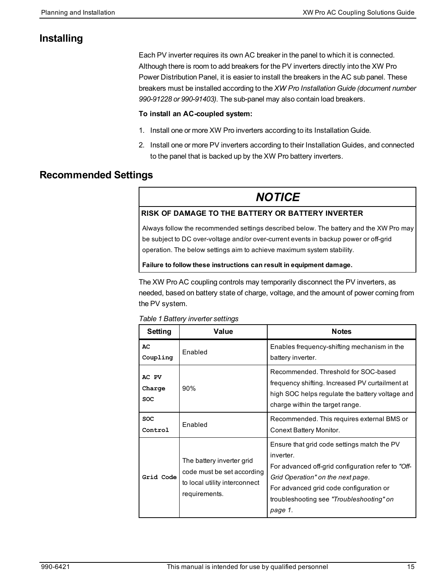### <span id="page-14-0"></span>**Installing**

Each PV inverter requires its own AC breaker in the panel to which it is connected. Although there is room to add breakers for the PV inverters directly into the XW Pro Power Distribution Panel, it is easier to install the breakers in the AC sub panel. These breakers must be installed according to the *XW Pro Installation Guide (document number 990-91228 or 990-91403)*. The sub-panel may also contain load breakers.

#### **To install an AC-coupled system:**

- 1. Install one or more XW Pro inverters according to its Installation Guide.
- 2. Install one or more PV inverters according to their Installation Guides, and connected to the panel that is backed up by the XW Pro battery inverters.

### <span id="page-14-1"></span>**Recommended Settings**

## *NOTICE*

#### **RISK OF DAMAGE TO THE BATTERY OR BATTERY INVERTER**

Always follow the recommended settings described below. The battery and the XW Pro may be subject to DC over-voltage and/or over-current events in backup power or off-grid operation. The below settings aim to achieve maximum system stability.

#### **Failure to follow these instructions can result in equipment damage.**

The XW Pro AC coupling controls may temporarily disconnect the PV inverters, as needed, based on battery state of charge, voltage, and the amount of power coming from the PV system.

|  |  |  | Table 1 Battery inverter settings |
|--|--|--|-----------------------------------|
|--|--|--|-----------------------------------|

| Setting                | Value                                                                                                     | <b>Notes</b>                                                                                                                                                                                                                                          |
|------------------------|-----------------------------------------------------------------------------------------------------------|-------------------------------------------------------------------------------------------------------------------------------------------------------------------------------------------------------------------------------------------------------|
| AC<br>Coupling         | Enabled                                                                                                   | Enables frequency-shifting mechanism in the<br>battery inverter.                                                                                                                                                                                      |
| AC PV<br>Charge<br>SOC | 90%                                                                                                       | Recommended. Threshold for SOC-based<br>frequency shifting. Increased PV curtailment at<br>high SOC helps regulate the battery voltage and<br>charge within the target range.                                                                         |
| <b>SOC</b><br>Control  | Enabled                                                                                                   | Recommended. This requires external BMS or<br>Conext Battery Monitor.                                                                                                                                                                                 |
| Grid Code              | The battery inverter grid<br>code must be set according<br>to local utility interconnect<br>requirements. | Ensure that grid code settings match the PV<br>inverter.<br>For advanced off-grid configuration refer to "Off-<br>Grid Operation" on the next page.<br>For advanced grid code configuration or<br>troubleshooting see "Troubleshooting" on<br>page 1. |